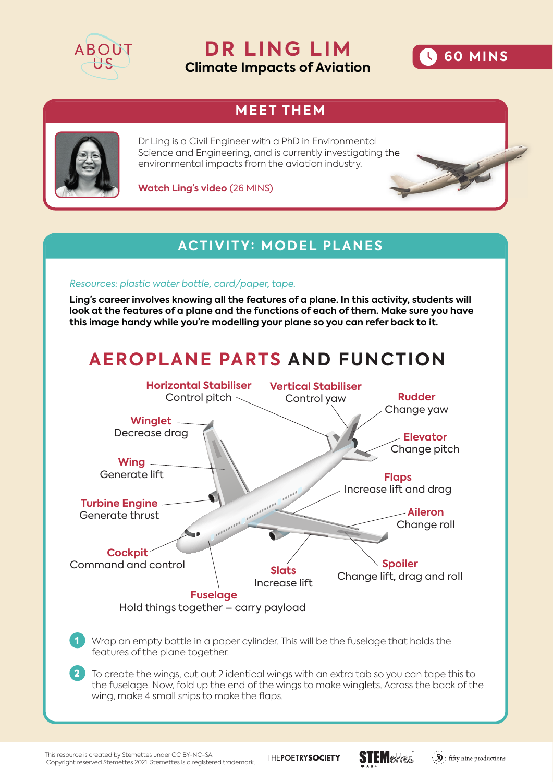

**DR LING LIM Climate Impacts of Aviation**



## **MEET THEM**



Dr Ling is a Civil Engineer with a PhD in Environmental Science and Engineering, and is currently investigating the environmental impacts from the aviation industry.

**Watch Ling's video** (26 MINS)

### **ACTIVITY: MODEL PLANES**

#### *Resources: plastic water bottle, card/paper, tape.*

**Ling's career involves knowing all the features of a plane. In this activity, students will look at the features of a plane and the functions of each of them. Make sure you have this image handy while you're modelling your plane so you can refer back to it.** 

# **AEROPLANE PARTS AND FUNCTION**